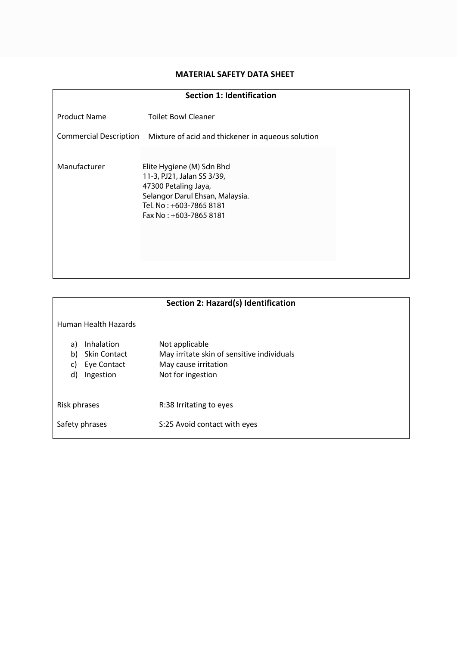### **MATERIAL SAFETY DATA SHEET**

| <b>Section 1: Identification</b>                     |                                                                                                                                                                          |  |
|------------------------------------------------------|--------------------------------------------------------------------------------------------------------------------------------------------------------------------------|--|
| <b>Product Name</b><br><b>Commercial Description</b> | <b>Toilet Bowl Cleaner</b><br>Mixture of acid and thickener in aqueous solution                                                                                          |  |
| Manufacturer                                         | Elite Hygiene (M) Sdn Bhd<br>11-3, PJ21, Jalan SS 3/39,<br>47300 Petaling Jaya,<br>Selangor Darul Ehsan, Malaysia.<br>Tel. No : +603-7865 8181<br>Fax No: +603-7865 8181 |  |

| Section 2: Hazard(s) Identification                                                   |                                                                                                           |
|---------------------------------------------------------------------------------------|-----------------------------------------------------------------------------------------------------------|
| Human Health Hazards                                                                  |                                                                                                           |
| Inhalation<br>a)<br>b)<br><b>Skin Contact</b><br>Eye Contact<br>C)<br>d)<br>Ingestion | Not applicable<br>May irritate skin of sensitive individuals<br>May cause irritation<br>Not for ingestion |
| Risk phrases                                                                          | R:38 Irritating to eyes                                                                                   |
| Safety phrases                                                                        | S:25 Avoid contact with eyes                                                                              |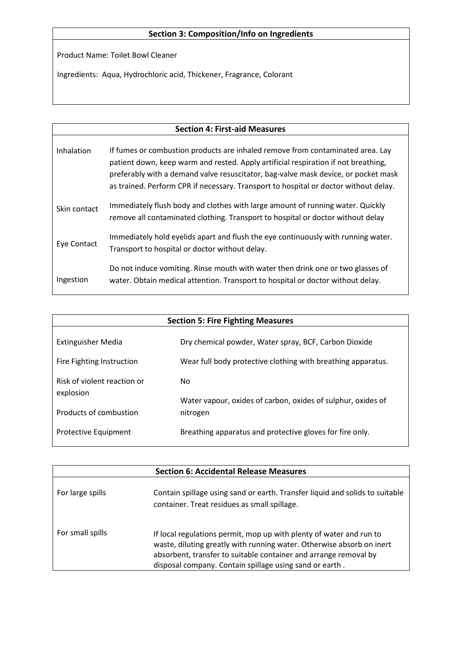## **Section 3: Composition/Info on Ingredients**

Product Name: Toilet Bowl Cleaner

Ingredients: Aqua, Hydrochloric acid, Thickener, Fragrance, Colorant

# **Section 4: First-aid Measures** Inhalation Skin contact Eye Contact Ingestion If fumes or combustion products are inhaled remove from contaminated area. Lay patient down, keep warm and rested. Apply artificial respiration if not breathing, preferably with a demand valve resuscitator, bag-valve mask device, or pocket mask as trained. Perform CPR if necessary. Transport to hospital or doctor without delay. Immediately flush body and clothes with large amount of running water. Quickly remove all contaminated clothing. Transport to hospital or doctor without delay Immediately hold eyelids apart and flush the eye continuously with running water. Transport to hospital or doctor without delay. Do not induce vomiting. Rinse mouth with water then drink one or two glasses of water. Obtain medical attention. Transport to hospital or doctor without delay.

| <b>Section 5: Fire Fighting Measures</b> |                                                              |
|------------------------------------------|--------------------------------------------------------------|
| <b>Extinguisher Media</b>                | Dry chemical powder, Water spray, BCF, Carbon Dioxide        |
| Fire Fighting Instruction                | Wear full body protective clothing with breathing apparatus. |
| Risk of violent reaction or              | No.                                                          |
| explosion                                | Water vapour, oxides of carbon, oxides of sulphur, oxides of |
| Products of combustion                   | nitrogen                                                     |
| <b>Protective Equipment</b>              | Breathing apparatus and protective gloves for fire only.     |

|                  | <b>Section 6: Accidental Release Measures</b>                                                                                                                                                                                                                               |
|------------------|-----------------------------------------------------------------------------------------------------------------------------------------------------------------------------------------------------------------------------------------------------------------------------|
| For large spills | Contain spillage using sand or earth. Transfer liquid and solids to suitable<br>container. Treat residues as small spillage.                                                                                                                                                |
| For small spills | If local regulations permit, mop up with plenty of water and run to<br>waste, diluting greatly with running water. Otherwise absorb on inert<br>absorbent, transfer to suitable container and arrange removal by<br>disposal company. Contain spillage using sand or earth. |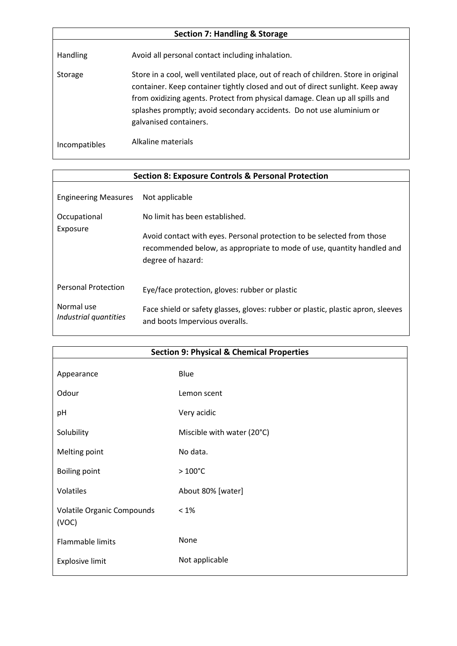| <b>Section 7: Handling &amp; Storage</b> |                                                                                                                                                                                                                                                                                                                                                          |  |
|------------------------------------------|----------------------------------------------------------------------------------------------------------------------------------------------------------------------------------------------------------------------------------------------------------------------------------------------------------------------------------------------------------|--|
| <b>Handling</b>                          | Avoid all personal contact including inhalation.                                                                                                                                                                                                                                                                                                         |  |
| Storage                                  | Store in a cool, well ventilated place, out of reach of children. Store in original<br>container. Keep container tightly closed and out of direct sunlight. Keep away<br>from oxidizing agents. Protect from physical damage. Clean up all spills and<br>splashes promptly; avoid secondary accidents. Do not use aluminium or<br>galvanised containers. |  |
| <b>Incompatibles</b>                     | Alkaline materials                                                                                                                                                                                                                                                                                                                                       |  |

 $\overline{\phantom{a}}$ 

| <b>Section 8: Exposure Controls &amp; Personal Protection</b>     |                                                                                                                                                                                                                           |
|-------------------------------------------------------------------|---------------------------------------------------------------------------------------------------------------------------------------------------------------------------------------------------------------------------|
| <b>Engineering Measures</b><br>Occupational<br>Exposure           | Not applicable<br>No limit has been established.<br>Avoid contact with eyes. Personal protection to be selected from those<br>recommended below, as appropriate to mode of use, quantity handled and<br>degree of hazard: |
| <b>Personal Protection</b><br>Normal use<br>Industrial quantities | Eye/face protection, gloves: rubber or plastic<br>Face shield or safety glasses, gloves: rubber or plastic, plastic apron, sleeves<br>and boots Impervious overalls.                                                      |

| <b>Section 9: Physical &amp; Chemical Properties</b> |                            |
|------------------------------------------------------|----------------------------|
| Appearance                                           | Blue                       |
| Odour                                                | Lemon scent                |
| pH                                                   | Very acidic                |
| Solubility                                           | Miscible with water (20°C) |
| Melting point                                        | No data.                   |
| <b>Boiling point</b>                                 | $>100^{\circ}$ C           |
| Volatiles                                            | About 80% [water]          |
| Volatile Organic Compounds<br>(VOC)                  | $<1\%$                     |
| Flammable limits                                     | None                       |
| <b>Explosive limit</b>                               | Not applicable             |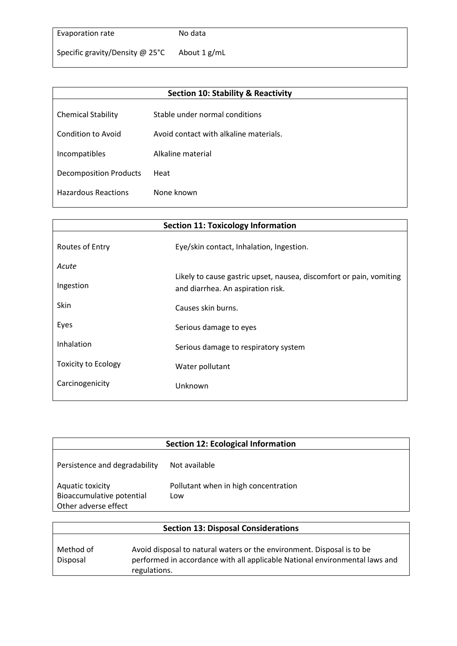# Evaporation rate

### No data

Specific gravity/Density @ 25°C About 1 g/mL

| <b>Section 10: Stability &amp; Reactivity</b> |                                        |  |
|-----------------------------------------------|----------------------------------------|--|
|                                               |                                        |  |
| <b>Chemical Stability</b>                     | Stable under normal conditions         |  |
|                                               |                                        |  |
| Condition to Avoid                            | Avoid contact with alkaline materials. |  |
|                                               | Alkaline material                      |  |
| Incompatibles                                 |                                        |  |
| <b>Decomposition Products</b>                 | Heat                                   |  |
|                                               |                                        |  |
| <b>Hazardous Reactions</b>                    | None known                             |  |
|                                               |                                        |  |

| <b>Section 11: Toxicology Information</b> |                                                                                                          |
|-------------------------------------------|----------------------------------------------------------------------------------------------------------|
| Routes of Entry                           | Eye/skin contact, Inhalation, Ingestion.                                                                 |
| Acute                                     |                                                                                                          |
| Ingestion                                 | Likely to cause gastric upset, nausea, discomfort or pain, vomiting<br>and diarrhea. An aspiration risk. |
| Skin                                      | Causes skin burns.                                                                                       |
| Eyes                                      | Serious damage to eyes                                                                                   |
| Inhalation                                | Serious damage to respiratory system                                                                     |
| <b>Toxicity to Ecology</b>                | Water pollutant                                                                                          |
| Carcinogenicity                           | Unknown                                                                                                  |
|                                           |                                                                                                          |

| <b>Section 12: Ecological Information</b>                             |                                             |
|-----------------------------------------------------------------------|---------------------------------------------|
| Persistence and degradability                                         | Not available                               |
| Aquatic toxicity<br>Bioaccumulative potential<br>Other adverse effect | Pollutant when in high concentration<br>Low |

| <b>Section 13: Disposal Considerations</b> |                                                                                                                                                                       |
|--------------------------------------------|-----------------------------------------------------------------------------------------------------------------------------------------------------------------------|
| Method of<br>Disposal                      | Avoid disposal to natural waters or the environment. Disposal is to be<br>performed in accordance with all applicable National environmental laws and<br>regulations. |